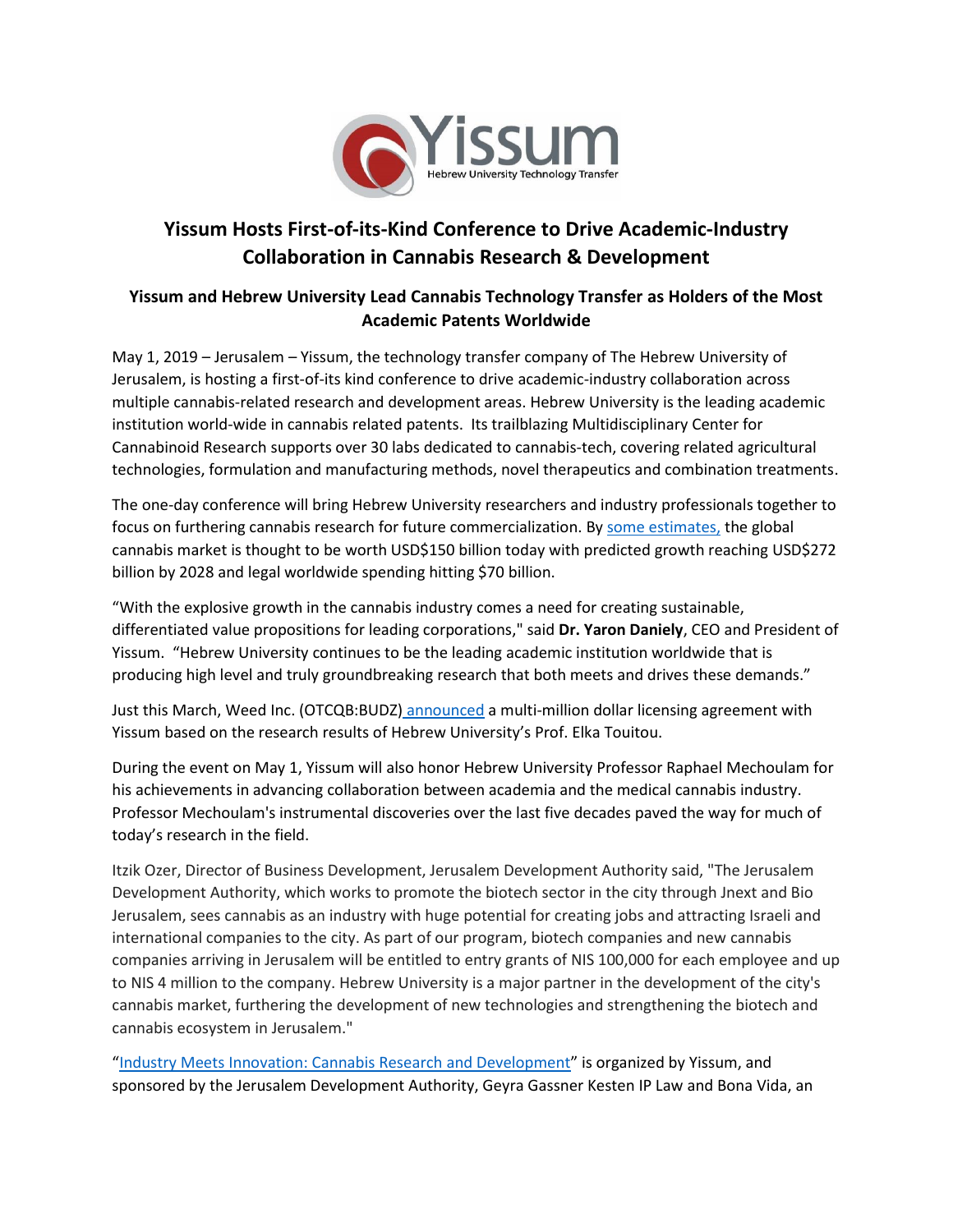

## **Yissum Hosts First-of-its-Kind Conference to Drive Academic-Industry Collaboration in Cannabis Research & Development**

## **Yissum and Hebrew University Lead Cannabis Technology Transfer as Holders of the Most Academic Patents Worldwide**

May 1, 2019 – Jerusalem – Yissum, the technology transfer company of The Hebrew University of Jerusalem, is hosting a first-of-its kind conference to drive academic-industry collaboration across multiple cannabis-related research and development areas. Hebrew University is the leading academic institution world-wide in cannabis related patents. Its trailblazing Multidisciplinary Center for Cannabinoid Research supports over 30 labs dedicated to cannabis-tech, covering related agricultural technologies, formulation and manufacturing methods, novel therapeutics and combination treatments.

The one-day conference will bring Hebrew University researchers and industry professionals together to focus on furthering cannabis research for future commercialization. By [some estimates,](https://thegreenfund.com/the-global-cannabis-industry-a-world-view) the global cannabis market is thought to be worth USD\$150 billion today with predicted growth reaching USD\$272 billion by 2028 and legal worldwide spending hitting \$70 billion.

"With the explosive growth in the cannabis industry comes a need for creating sustainable, differentiated value propositions for leading corporations," said **Dr. Yaron Daniely**, CEO and President of Yissum. "Hebrew University continues to be the leading academic institution worldwide that is producing high level and truly groundbreaking research that both meets and drives these demands."

Just this March, Weed Inc. (OTCQB:BUDZ) [announced](https://www.cannabisbusinesstimes.com/article/weed-inc-agreement-cannabis-related-intellectual-property-israel/) a multi-million dollar licensing agreement with Yissum based on the research results of Hebrew University's Prof. Elka Touitou.

During the event on May 1, Yissum will also honor Hebrew University Professor Raphael Mechoulam for his achievements in advancing collaboration between academia and the medical cannabis industry. Professor Mechoulam's instrumental discoveries over the last five decades paved the way for much of today's research in the field.

Itzik Ozer, Director of Business Development, Jerusalem Development Authority said, "The Jerusalem Development Authority, which works to promote the biotech sector in the city through Jnext and Bio Jerusalem, sees cannabis as an industry with huge potential for creating jobs and attracting Israeli and international companies to the city. As part of our program, biotech companies and new cannabis companies arriving in Jerusalem will be entitled to entry grants of NIS 100,000 for each employee and up to NIS 4 million to the company. Hebrew University is a major partner in the development of the city's cannabis market, furthering the development of new technologies and strengthening the biotech and cannabis ecosystem in Jerusalem."

"[Industry Meets Innovation: Cannabis Research](http://www.yissum.co.il/sites/default/files/cannabis_program_events.pdf) and Development" is organized by Yissum, and sponsored by the Jerusalem Development Authority, Geyra Gassner Kesten IP Law and Bona Vida, an